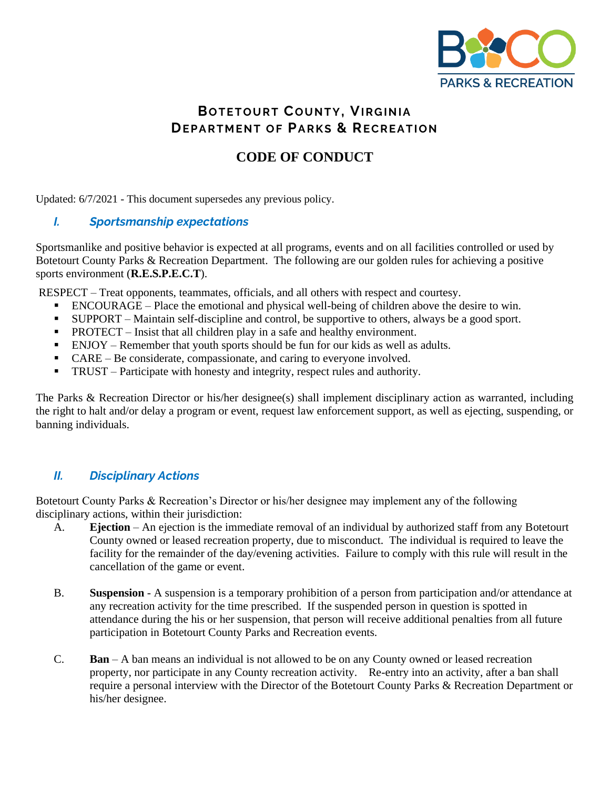

# **BOTETOURT COUNTY, VIRGINIA DEPARTMENT OF PARKS & RECREATION**

# **CODE OF CONDUCT**

Updated: 6/7/2021 - This document supersedes any previous policy.

## *I. Sportsmanship expectations*

Sportsmanlike and positive behavior is expected at all programs, events and on all facilities controlled or used by Botetourt County Parks & Recreation Department. The following are our golden rules for achieving a positive sports environment (**R.E.S.P.E.C.T**).

RESPECT – Treat opponents, teammates, officials, and all others with respect and courtesy.

- ENCOURAGE Place the emotional and physical well-being of children above the desire to win.
- SUPPORT Maintain self-discipline and control, be supportive to others, always be a good sport.
- PROTECT Insist that all children play in a safe and healthy environment.
- ENJOY Remember that youth sports should be fun for our kids as well as adults.
- $CARE Be$  considerate, compassionate, and caring to everyone involved.
- TRUST Participate with honesty and integrity, respect rules and authority.

The Parks & Recreation Director or his/her designee(s) shall implement disciplinary action as warranted, including the right to halt and/or delay a program or event, request law enforcement support, as well as ejecting, suspending, or banning individuals.

## *II. Disciplinary Actions*

Botetourt County Parks & Recreation's Director or his/her designee may implement any of the following disciplinary actions, within their jurisdiction:

- A. **Ejection** An ejection is the immediate removal of an individual by authorized staff from any Botetourt County owned or leased recreation property, due to misconduct. The individual is required to leave the facility for the remainder of the day/evening activities. Failure to comply with this rule will result in the cancellation of the game or event.
- B. **Suspension**  A suspension is a temporary prohibition of a person from participation and/or attendance at any recreation activity for the time prescribed. If the suspended person in question is spotted in attendance during the his or her suspension, that person will receive additional penalties from all future participation in Botetourt County Parks and Recreation events.
- C. **Ban**  A ban means an individual is not allowed to be on any County owned or leased recreation property, nor participate in any County recreation activity. Re-entry into an activity, after a ban shall require a personal interview with the Director of the Botetourt County Parks & Recreation Department or his/her designee.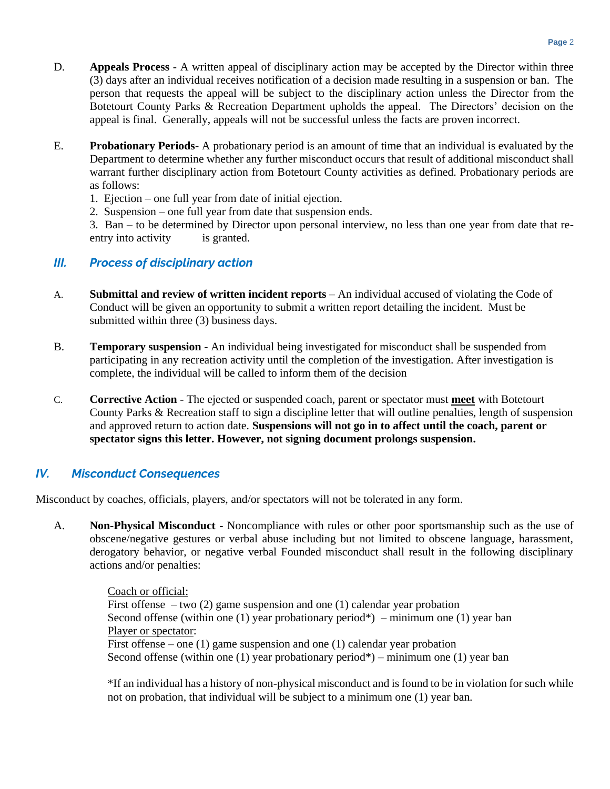- D. **Appeals Process**  A written appeal of disciplinary action may be accepted by the Director within three (3) days after an individual receives notification of a decision made resulting in a suspension or ban. The person that requests the appeal will be subject to the disciplinary action unless the Director from the Botetourt County Parks & Recreation Department upholds the appeal. The Directors' decision on the appeal is final. Generally, appeals will not be successful unless the facts are proven incorrect.
- E. **Probationary Periods** A probationary period is an amount of time that an individual is evaluated by the Department to determine whether any further misconduct occurs that result of additional misconduct shall warrant further disciplinary action from Botetourt County activities as defined. Probationary periods are as follows:
	- 1. Ejection one full year from date of initial ejection.
	- 2. Suspension one full year from date that suspension ends.

3. Ban – to be determined by Director upon personal interview, no less than one year from date that reentry into activity is granted.

## *III. Process of disciplinary action*

- A. **Submittal and review of written incident reports** An individual accused of violating the Code of Conduct will be given an opportunity to submit a written report detailing the incident. Must be submitted within three (3) business days.
- B. **Temporary suspension** An individual being investigated for misconduct shall be suspended from participating in any recreation activity until the completion of the investigation. After investigation is complete, the individual will be called to inform them of the decision
- C. **Corrective Action** The ejected or suspended coach, parent or spectator must **meet** with Botetourt County Parks & Recreation staff to sign a discipline letter that will outline penalties, length of suspension and approved return to action date. **Suspensions will not go in to affect until the coach, parent or spectator signs this letter. However, not signing document prolongs suspension.**

## *IV. Misconduct Consequences*

Misconduct by coaches, officials, players, and/or spectators will not be tolerated in any form.

A. **Non-Physical Misconduct -** Noncompliance with rules or other poor sportsmanship such as the use of obscene/negative gestures or verbal abuse including but not limited to obscene language, harassment, derogatory behavior, or negative verbal Founded misconduct shall result in the following disciplinary actions and/or penalties:

> Coach or official: First offense – two  $(2)$  game suspension and one  $(1)$  calendar year probation Second offense (within one (1) year probationary period\*) – minimum one (1) year ban Player or spectator: First offense – one (1) game suspension and one (1) calendar year probation Second offense (within one (1) year probationary period\*) – minimum one (1) year ban

\*If an individual has a history of non-physical misconduct and is found to be in violation for such while not on probation, that individual will be subject to a minimum one (1) year ban.